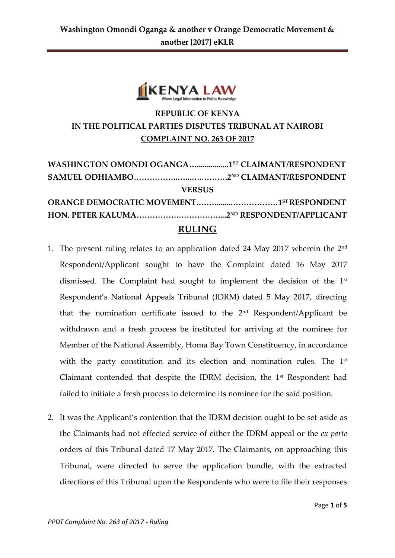

## **REPUBLIC OF KENYA IN THE POLITICAL PARTIES DISPUTES TRIBUNAL AT NAIROBI COMPLAINT NO. 263 OF 2017**

| WASHINGTON OMONDI OGANGA1ST CLAIMANT/RESPONDENT |  |
|-------------------------------------------------|--|
|                                                 |  |
| <b>VERSUS</b>                                   |  |
|                                                 |  |
|                                                 |  |
| <b>RULING</b>                                   |  |

- 1. The present ruling relates to an application dated 24 May 2017 wherein the 2nd Respondent/Applicant sought to have the Complaint dated 16 May 2017 dismissed. The Complaint had sought to implement the decision of the 1<sup>st</sup> Respondent's National Appeals Tribunal (IDRM) dated 5 May 2017, directing that the nomination certificate issued to the  $2<sup>nd</sup>$  Respondent/Applicant be withdrawn and a fresh process be instituted for arriving at the nominee for Member of the National Assembly, Homa Bay Town Constituency, in accordance with the party constitution and its election and nomination rules. The  $1<sup>st</sup>$ Claimant contended that despite the IDRM decision, the 1<sup>st</sup> Respondent had failed to initiate a fresh process to determine its nominee for the said position.
- 2. It was the Applicant's contention that the IDRM decision ought to be set aside as the Claimants had not effected service of either the IDRM appeal or the *ex parte* orders of this Tribunal dated 17 May 2017. The Claimants, on approaching this Tribunal, were directed to serve the application bundle, with the extracted directions of this Tribunal upon the Respondents who were to file their responses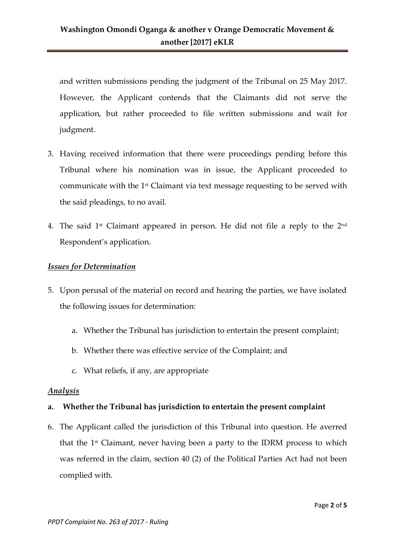and written submissions pending the judgment of the Tribunal on 25 May 2017. However, the Applicant contends that the Claimants did not serve the application, but rather proceeded to file written submissions and wait for judgment.

- 3. Having received information that there were proceedings pending before this Tribunal where his nomination was in issue, the Applicant proceeded to communicate with the 1st Claimant via text message requesting to be served with the said pleadings, to no avail.
- 4. The said 1st Claimant appeared in person. He did not file a reply to the 2 $^{\rm{nd}}$ Respondent's application.

#### *Issues for Determination*

- 5. Upon perusal of the material on record and hearing the parties, we have isolated the following issues for determination:
	- a. Whether the Tribunal has jurisdiction to entertain the present complaint;
	- b. Whether there was effective service of the Complaint; and
	- c. What reliefs, if any, are appropriate

#### *Analysis*

### **a. Whether the Tribunal has jurisdiction to entertain the present complaint**

6. The Applicant called the jurisdiction of this Tribunal into question. He averred that the 1 st Claimant, never having been a party to the IDRM process to which was referred in the claim, section 40 (2) of the Political Parties Act had not been complied with.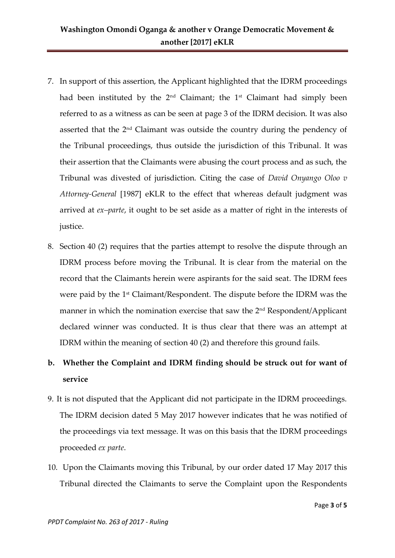- 7. In support of this assertion, the Applicant highlighted that the IDRM proceedings had been instituted by the  $2<sup>nd</sup>$  Claimant; the  $1<sup>st</sup>$  Claimant had simply been referred to as a witness as can be seen at page 3 of the IDRM decision. It was also asserted that the 2nd Claimant was outside the country during the pendency of the Tribunal proceedings, thus outside the jurisdiction of this Tribunal. It was their assertion that the Claimants were abusing the court process and as such, the Tribunal was divested of jurisdiction. Citing the case of *David Onyango Oloo v Attorney-General* [1987] eKLR to the effect that whereas default judgment was arrived at *ex–parte*, it ought to be set aside as a matter of right in the interests of justice.
- 8. Section 40 (2) requires that the parties attempt to resolve the dispute through an IDRM process before moving the Tribunal. It is clear from the material on the record that the Claimants herein were aspirants for the said seat. The IDRM fees were paid by the 1st Claimant/Respondent. The dispute before the IDRM was the manner in which the nomination exercise that saw the 2<sup>nd</sup> Respondent/Applicant declared winner was conducted. It is thus clear that there was an attempt at IDRM within the meaning of section 40 (2) and therefore this ground fails.

# **b. Whether the Complaint and IDRM finding should be struck out for want of service**

- 9. It is not disputed that the Applicant did not participate in the IDRM proceedings. The IDRM decision dated 5 May 2017 however indicates that he was notified of the proceedings via text message. It was on this basis that the IDRM proceedings proceeded *ex parte*.
- 10. Upon the Claimants moving this Tribunal, by our order dated 17 May 2017 this Tribunal directed the Claimants to serve the Complaint upon the Respondents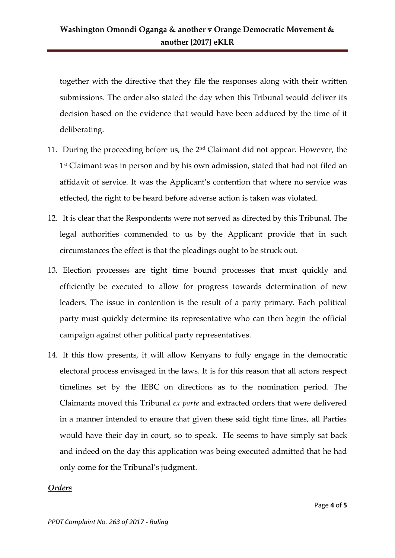together with the directive that they file the responses along with their written submissions. The order also stated the day when this Tribunal would deliver its decision based on the evidence that would have been adduced by the time of it deliberating.

- 11. During the proceeding before us, the  $2<sup>nd</sup>$  Claimant did not appear. However, the 1 st Claimant was in person and by his own admission, stated that had not filed an affidavit of service. It was the Applicant's contention that where no service was effected, the right to be heard before adverse action is taken was violated.
- 12. It is clear that the Respondents were not served as directed by this Tribunal. The legal authorities commended to us by the Applicant provide that in such circumstances the effect is that the pleadings ought to be struck out.
- 13. Election processes are tight time bound processes that must quickly and efficiently be executed to allow for progress towards determination of new leaders. The issue in contention is the result of a party primary. Each political party must quickly determine its representative who can then begin the official campaign against other political party representatives.
- 14. If this flow presents, it will allow Kenyans to fully engage in the democratic electoral process envisaged in the laws. It is for this reason that all actors respect timelines set by the IEBC on directions as to the nomination period. The Claimants moved this Tribunal *ex parte* and extracted orders that were delivered in a manner intended to ensure that given these said tight time lines, all Parties would have their day in court, so to speak. He seems to have simply sat back and indeed on the day this application was being executed admitted that he had only come for the Tribunal's judgment.

#### *Orders*